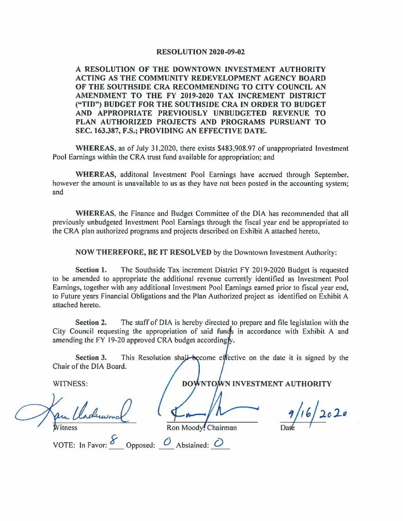## **RESOLUTION 2020-09-02**

**A RESOLUTION OF THE DOWNTOWN INVESTMENT AUTHORITY ACTING AS THE COMMUNITY REDEVELOPMENT AGENCY BOARD OF THE SOUTHSIDE CRA RECOMMENDING TO CITY COUNCIL AN AMENDMENT TO THE FY 2019-2020 TAX INCREMENT DISTRICT ("TID") BUDGET FOR THE SOUTHSIDE CRA IN ORDER TO BUDGET AND APPROPRIATE PREVIOUSLY UNBUDGETED REVENUE TO PLAN AUTHORIZED PROJECTS AND PROGRAMS PURSUANT TO SEC. 163.387, F.S.; PROVIDING AN EFFECTIVE DATE.** 

**WHEREAS,** as of July 31.2020, there exists \$483,908.97 of unappropriated Investment Pool Earnings within the CRA trust fund available for appropriation; and

**WHEREAS,** additonal Investment Pool Earnings have accrued through September, however the amount is unavailable to us as they have not been posted in the accounting system; and

**WHEREAS,** the Finance and Budget Committee of the DIA has recommended that all previously unbudgeted Investment Pool Earnings through the fiscal year end be appropriated to the CRA plan authorized programs and projects described on Exhibit A attached hereto,

**NOW THEREFORE, BE IT RESOLVED** by the Downtown Investment Authority:

**Section 1.** The Southside Tax increment District FY 2019-2020 Budget is requested to be amended to appropriate the additional revenue currently identified as Investment Pool Earnings, together with any additional Investment Pool Earnings earned prior to fiscal year end, to Future years Financial Obligations and the Plan Authorized project as identified on Exhibit A attached hereto.

**Section 2.** The staff of DIA is hereby directed to prepare and file legislation with the City Council requesting the appropriation of said funds in accordance with Exhibit A and amending the FY 19-20 approved CRA budget accordingly.

**Section 3.** This Resolution shall become effective on the date it is signed by the Chair of the DIA Board.

Witness

WITNESS: DOWNTOWN INVESTMENT AUTHORITY<br>Pu Choluanol (<del>f m/h /h /</del> 1/16/2020  $\n *n*   
\n Ron Moody, Chairman\n *n* / 16 / 2c 2c$ 

VOTE: In Favor:  $\frac{\delta}{\delta}$  Opposed:  $\frac{\delta}{\delta}$  Abstained:  $\delta$